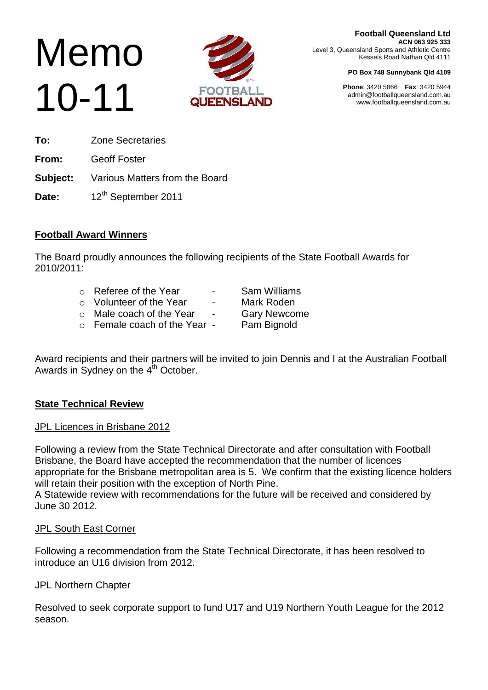# Memo 10-11



**Football Queensland Ltd ACN 063 925 333** Level 3, Queensland Sports and Athletic Centre Kessels Road Nathan Qld 4111

#### **PO Box 748 Sunnybank Qld 4109**

**Phone**: 3420 5866 **Fax**: 3420 5944 admin@footballqueensland.com.au www.footballqueensland.com.au

**To:** Zone Secretaries **From:** Geoff Foster **Subject:** Various Matters from the Board

Date: 12<sup>th</sup> September 2011

### **Football Award Winners**

The Board proudly announces the following recipients of the State Football Awards for 2010/2011:

- o Referee of the Year **-** Sam Williams
- o Volunteer of the Year Mark Roden
- o Male coach of the Year Gary Newcome
- o Female coach of the Year Pam Bignold
- 
- 
- -

Award recipients and their partners will be invited to join Dennis and I at the Australian Football Awards in Sydney on the 4<sup>th</sup> October.

### **State Technical Review**

### JPL Licences in Brisbane 2012

Following a review from the State Technical Directorate and after consultation with Football Brisbane, the Board have accepted the recommendation that the number of licences appropriate for the Brisbane metropolitan area is 5. We confirm that the existing licence holders will retain their position with the exception of North Pine.

A Statewide review with recommendations for the future will be received and considered by June 30 2012.

### JPL South East Corner

Following a recommendation from the State Technical Directorate, it has been resolved to introduce an U16 division from 2012.

### **JPL Northern Chapter**

Resolved to seek corporate support to fund U17 and U19 Northern Youth League for the 2012 season.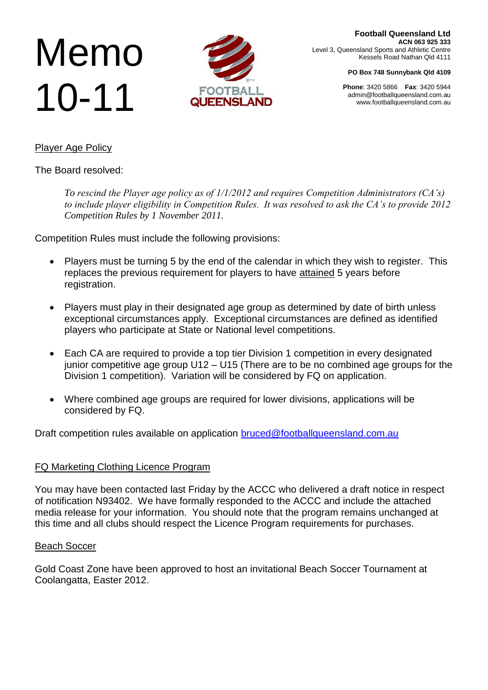# Memo 10-11



**Football Queensland Ltd ACN 063 925 333** Level 3, Queensland Sports and Athletic Centre Kessels Road Nathan Qld 4111

**PO Box 748 Sunnybank Qld 4109**

**Phone**: 3420 5866 **Fax**: 3420 5944 admin@footballqueensland.com.au www.footballqueensland.com.au

### Player Age Policy

The Board resolved:

*To rescind the Player age policy as of 1/1/2012 and requires Competition Administrators (CA's) to include player eligibility in Competition Rules. It was resolved to ask the CA's to provide 2012 Competition Rules by 1 November 2011.*

Competition Rules must include the following provisions:

- Players must be turning 5 by the end of the calendar in which they wish to register. This replaces the previous requirement for players to have attained 5 years before registration.
- Players must play in their designated age group as determined by date of birth unless exceptional circumstances apply. Exceptional circumstances are defined as identified players who participate at State or National level competitions.
- Each CA are required to provide a top tier Division 1 competition in every designated junior competitive age group U12 – U15 (There are to be no combined age groups for the Division 1 competition). Variation will be considered by FQ on application.
- Where combined age groups are required for lower divisions, applications will be considered by FQ.

Draft competition rules available on application **bruced@footballqueensland.com.au** 

### FQ Marketing Clothing Licence Program

You may have been contacted last Friday by the ACCC who delivered a draft notice in respect of notification N93402. We have formally responded to the ACCC and include the attached media release for your information. You should note that the program remains unchanged at this time and all clubs should respect the Licence Program requirements for purchases.

### Beach Soccer

Gold Coast Zone have been approved to host an invitational Beach Soccer Tournament at Coolangatta, Easter 2012.